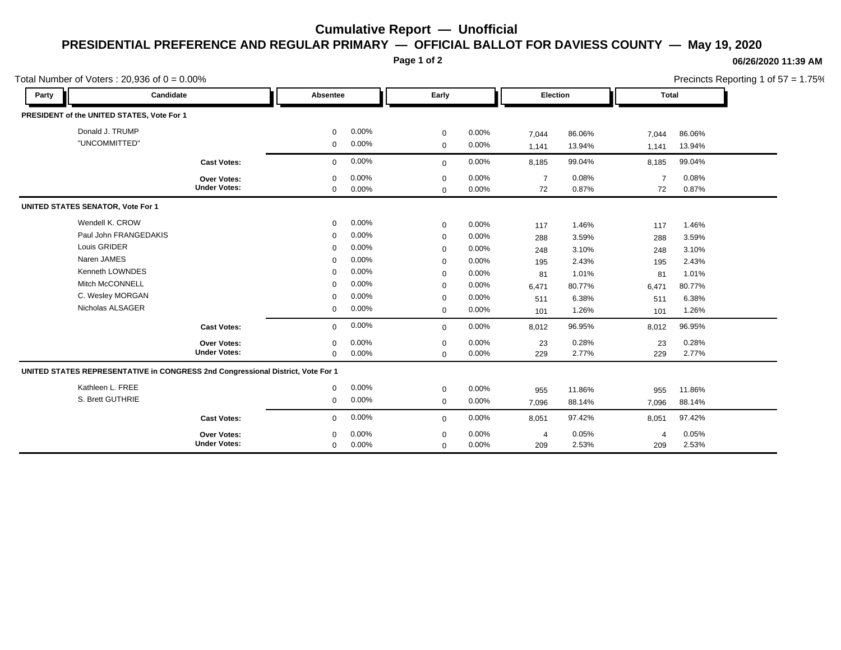## **Cumulative Report — Unofficial PRESIDENTIAL PREFERENCE AND REGULAR PRIMARY — OFFICIAL BALLOT FOR DAVIESS COUNTY — May 19, 2020**

**Page 1 of 2**

## **06/26/2020 11:39 AM**

Precincts Reporting 1 of 57 = 1.75%

| Total Number of Voters: $20,936$ of $0 = 0.00\%$ |                                                                                 |             |          |             |          |                | Precincts Reporting 1 of 57 = 1.75% |                |              |  |  |
|--------------------------------------------------|---------------------------------------------------------------------------------|-------------|----------|-------------|----------|----------------|-------------------------------------|----------------|--------------|--|--|
| Party                                            | Candidate                                                                       |             | Absentee |             | Early    |                | Election                            |                | <b>Total</b> |  |  |
|                                                  | PRESIDENT of the UNITED STATES, Vote For 1                                      |             |          |             |          |                |                                     |                |              |  |  |
|                                                  | Donald J. TRUMP                                                                 |             | 0.00%    | $\mathbf 0$ | 0.00%    | 7,044          | 86.06%                              | 7,044          | 86.06%       |  |  |
|                                                  | "UNCOMMITTED"                                                                   | 0           | 0.00%    | $\mathbf 0$ | 0.00%    | 1,141          | 13.94%                              | 1,141          | 13.94%       |  |  |
|                                                  | <b>Cast Votes:</b>                                                              | $\mathbf 0$ | 0.00%    | $\mathbf 0$ | 0.00%    | 8,185          | 99.04%                              | 8,185          | 99.04%       |  |  |
|                                                  | <b>Over Votes:</b>                                                              | $\mathbf 0$ | 0.00%    | $\mathbf 0$ | 0.00%    | $\overline{7}$ | 0.08%                               | $\overline{7}$ | 0.08%        |  |  |
|                                                  | <b>Under Votes:</b>                                                             | $\mathbf 0$ | 0.00%    | $\mathbf 0$ | $0.00\%$ | 72             | 0.87%                               | 72             | 0.87%        |  |  |
| <b>UNITED STATES SENATOR, Vote For 1</b>         |                                                                                 |             |          |             |          |                |                                     |                |              |  |  |
|                                                  | Wendell K. CROW                                                                 | $\mathbf 0$ | 0.00%    | $\mathbf 0$ | 0.00%    | 117            | 1.46%                               | 117            | 1.46%        |  |  |
| Paul John FRANGEDAKIS                            |                                                                                 | $\mathbf 0$ | 0.00%    | $\mathbf 0$ | 0.00%    | 288            | 3.59%                               | 288            | 3.59%        |  |  |
|                                                  | Louis GRIDER                                                                    | $\mathbf 0$ | 0.00%    | $\mathbf 0$ | 0.00%    | 248            | 3.10%                               | 248            | 3.10%        |  |  |
|                                                  | Naren JAMES                                                                     | $\Omega$    | 0.00%    | $\mathbf 0$ | 0.00%    | 195            | 2.43%                               | 195            | 2.43%        |  |  |
|                                                  | Kenneth LOWNDES                                                                 | $\mathbf 0$ | 0.00%    | $\mathbf 0$ | 0.00%    | 81             | 1.01%                               | 81             | 1.01%        |  |  |
|                                                  | Mitch McCONNELL                                                                 | $\Omega$    | 0.00%    | $\mathbf 0$ | 0.00%    | 6,471          | 80.77%                              | 6,471          | 80.77%       |  |  |
|                                                  | C. Wesley MORGAN                                                                | $\mathbf 0$ | 0.00%    | $\mathbf 0$ | 0.00%    | 511            | 6.38%                               | 511            | 6.38%        |  |  |
|                                                  | Nicholas ALSAGER                                                                | 0           | 0.00%    | $\mathbf 0$ | 0.00%    | 101            | 1.26%                               | 101            | 1.26%        |  |  |
|                                                  | <b>Cast Votes:</b>                                                              | $\mathbf 0$ | 0.00%    | $\mathbf 0$ | 0.00%    | 8,012          | 96.95%                              | 8,012          | 96.95%       |  |  |
|                                                  | Over Votes:                                                                     | $\mathbf 0$ | 0.00%    | $\mathbf 0$ | 0.00%    | 23             | 0.28%                               | 23             | 0.28%        |  |  |
|                                                  | <b>Under Votes:</b>                                                             | $\mathbf 0$ | 0.00%    | $\mathbf 0$ | 0.00%    | 229            | 2.77%                               | 229            | 2.77%        |  |  |
|                                                  | UNITED STATES REPRESENTATIVE in CONGRESS 2nd Congressional District, Vote For 1 |             |          |             |          |                |                                     |                |              |  |  |
|                                                  | Kathleen L. FREE                                                                | 0           | 0.00%    | $\mathbf 0$ | $0.00\%$ | 955            | 11.86%                              | 955            | 11.86%       |  |  |
|                                                  | S. Brett GUTHRIE                                                                | $\mathbf 0$ | 0.00%    | $\mathbf 0$ | 0.00%    | 7,096          | 88.14%                              | 7,096          | 88.14%       |  |  |
|                                                  | <b>Cast Votes:</b>                                                              | $\mathbf 0$ | 0.00%    | $\mathbf 0$ | 0.00%    | 8,051          | 97.42%                              | 8,051          | 97.42%       |  |  |
|                                                  | Over Votes:                                                                     | $\mathbf 0$ | 0.00%    | 0           | 0.00%    | 4              | 0.05%                               | $\overline{4}$ | 0.05%        |  |  |
|                                                  | <b>Under Votes:</b>                                                             | $\mathbf 0$ | 0.00%    | $\mathbf 0$ | 0.00%    | 209            | 2.53%                               | 209            | 2.53%        |  |  |